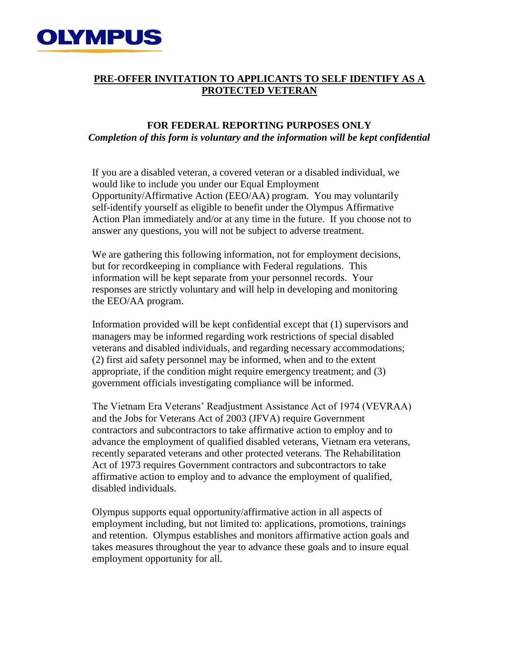

## **PRE-OFFER INVITATION TO APPLICANTS TO SELF IDENTIFY AS A PROTECTED VETERAN**

## **FOR FEDERAL REPORTING PURPOSES ONLY** *Completion of this form is voluntary and the information will be kept confidential*

If you are a disabled veteran, a covered veteran or a disabled individual, we would like to include you under our Equal Employment Opportunity/Affirmative Action (EEO/AA) program. You may voluntarily self-identify yourself as eligible to benefit under the Olympus Affirmative Action Plan immediately and/or at any time in the future. If you choose not to answer any questions, you will not be subject to adverse treatment.

We are gathering this following information, not for employment decisions, but for recordkeeping in compliance with Federal regulations. This information will be kept separate from your personnel records. Your responses are strictly voluntary and will help in developing and monitoring the EEO/AA program.

Information provided will be kept confidential except that (1) supervisors and managers may be informed regarding work restrictions of special disabled veterans and disabled individuals, and regarding necessary accommodations; (2) first aid safety personnel may be informed, when and to the extent appropriate, if the condition might require emergency treatment; and (3) government officials investigating compliance will be informed.

The Vietnam Era Veterans' Readjustment Assistance Act of 1974 (VEVRAA) and the Jobs for Veterans Act of 2003 (JFVA) require Government contractors and subcontractors to take affirmative action to employ and to advance the employment of qualified disabled veterans, Vietnam era veterans, recently separated veterans and other protected veterans. The Rehabilitation Act of 1973 requires Government contractors and subcontractors to take affirmative action to employ and to advance the employment of qualified, disabled individuals.

Olympus supports equal opportunity/affirmative action in all aspects of employment including, but not limited to: applications, promotions, trainings and retention. Olympus establishes and monitors affirmative action goals and takes measures throughout the year to advance these goals and to insure equal employment opportunity for all.